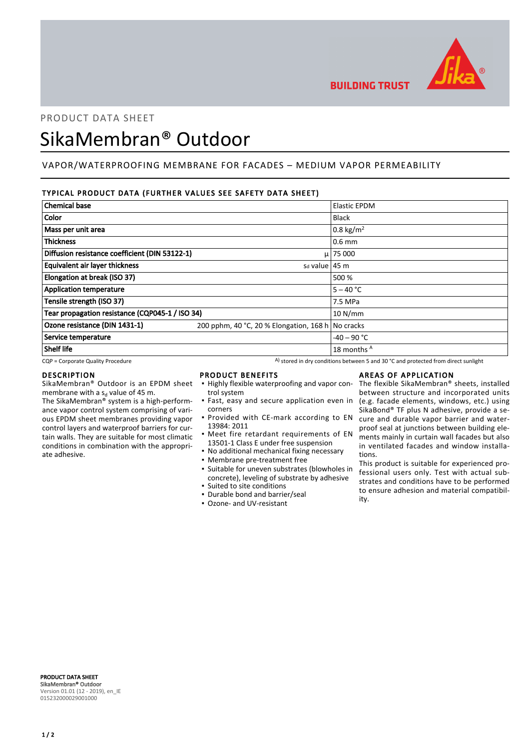

**BUILDING TRUST** 

# PRODUCT DATA SHEET

# SikaMembran® Outdoor

# VAPOR/WATERPROOFING MEMBRANE FOR FACADES – MEDIUM VAPOR PERMEABILITY

### TYPICAL PRODUCT DATA (FURTHER VALUES SEE SAFETY DATA SHEET)

| <b>Chemical base</b>                            |                                                   | <b>Elastic EPDM</b>  |
|-------------------------------------------------|---------------------------------------------------|----------------------|
| Color                                           |                                                   | <b>Black</b>         |
| Mass per unit area                              |                                                   | $0.8 \text{ kg/m}^2$ |
| <b>Thickness</b>                                |                                                   | $0.6$ mm             |
| Diffusion resistance coefficient (DIN 53122-1)  |                                                   | $\mu$ 75 000         |
| <b>Equivalent air layer thickness</b>           | s <sub>d</sub> value   45 m                       |                      |
| Elongation at break (ISO 37)                    |                                                   | 500 %                |
| <b>Application temperature</b>                  |                                                   | $5 - 40 °C$          |
| Tensile strength (ISO 37)                       |                                                   | 7.5 MPa              |
| Tear propagation resistance (CQP045-1 / ISO 34) |                                                   | 10 N/mm              |
| Ozone resistance (DIN 1431-1)                   | 200 pphm, 40 °C, 20 % Elongation, 168 h No cracks |                      |
| Service temperature                             |                                                   | $-40 - 90$ °C        |
| <b>Shelf life</b>                               |                                                   | 18 months A          |

 $CQP$  = Corporate Quality Procedure  $A)$  stored in dry conditions between 5 and 30 °C and protected from direct sunlight

#### DESCRIPTION

SikaMembran® Outdoor is an EPDM sheet membrane with a s<sub>d</sub> value of 45 m.

The SikaMembran® system is a high-performance vapor control system comprising of various EPDM sheet membranes providing vapor control layers and waterproof barriers for curtain walls. They are suitable for most climatic conditions in combination with the appropriate adhesive.

#### PRODUCT BENEFITS

- **.** Highly flexible waterproofing and vapor control system
- **·** Fast, easy and secure application even in corners
- **Provided with CE-mark according to EN** 13984: 2011
- **•** Meet fire retardant requirements of EN 13501-1 Class E under free suspension
- No additional mechanical fixing necessary
- Membrane pre-treatment free
- Suitable for uneven substrates (blowholes in concrete), leveling of substrate by adhesive ▪ Suited to site conditions
- Durable bond and barrier/seal
- Ozone- and UV-resistant

#### AREAS OF APPLICATION

The flexible SikaMembran® sheets, installed between structure and incorporated units (e.g. facade elements, windows, etc.) using SikaBond® TF plus N adhesive, provide a secure and durable vapor barrier and waterproof seal at junctions between building elements mainly in curtain wall facades but also in ventilated facades and window installations.

This product is suitable for experienced professional users only. Test with actual substrates and conditions have to be performed to ensure adhesion and material compatibility.

PRODUCT DATA SHEET SikaMembran® Outdoor Version 01.01 (12 - 2019), en\_IE 015232000029001000